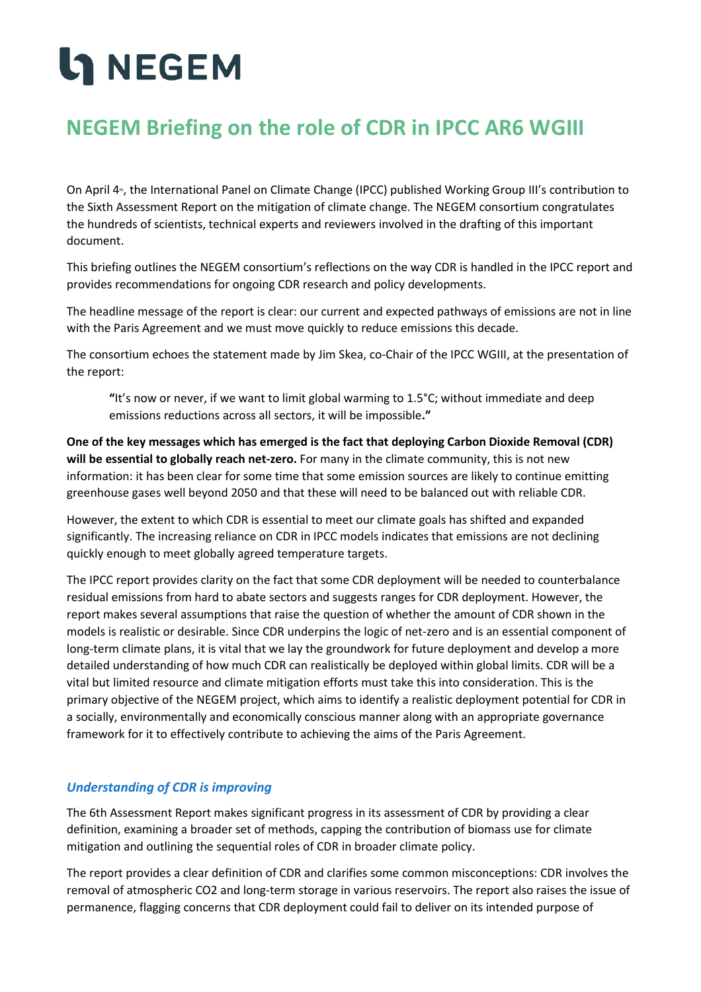# **LANEGEM**

### **NEGEM Briefing on the role of CDR in IPCC AR6 WGIII**

On April 4<sub>th</sub>, the International Panel on Climate Change (IPCC) published Working Group III's contribution to the Sixth Assessment Report on the mitigation of climate change. The NEGEM consortium congratulates the hundreds of scientists, technical experts and reviewers involved in the drafting of this important document.

This briefing outlines the NEGEM consortium's reflections on the way CDR is handled in the IPCC report and provides recommendations for ongoing CDR research and policy developments.

The headline message of the report is clear: our current and expected pathways of emissions are not in line with the Paris Agreement and we must move quickly to reduce emissions this decade.

The consortium echoes the statement made by Jim Skea, co-Chair of the IPCC WGIII, at the presentation of the report:

**"**It's now or never, if we want to limit global warming to 1.5°C; without immediate and deep emissions reductions across all sectors, it will be impossible**."**

**One of the key messages which has emerged is the fact that deploying Carbon Dioxide Removal (CDR) will be essential to globally reach net-zero.** For many in the climate community, this is not new information: it has been clear for some time that some emission sources are likely to continue emitting greenhouse gases well beyond 2050 and that these will need to be balanced out with reliable CDR.

However, the extent to which CDR is essential to meet our climate goals has shifted and expanded significantly. The increasing reliance on CDR in IPCC models indicates that emissions are not declining quickly enough to meet globally agreed temperature targets.

The IPCC report provides clarity on the fact that some CDR deployment will be needed to counterbalance residual emissions from hard to abate sectors and suggests ranges for CDR deployment. However, the report makes several assumptions that raise the question of whether the amount of CDR shown in the models is realistic or desirable. Since CDR underpins the logic of net-zero and is an essential component of long-term climate plans, it is vital that we lay the groundwork for future deployment and develop a more detailed understanding of how much CDR can realistically be deployed within global limits. CDR will be a vital but limited resource and climate mitigation efforts must take this into consideration. This is the primary objective of the NEGEM project, which aims to identify a realistic deployment potential for CDR in a socially, environmentally and economically conscious manner along with an appropriate governance framework for it to effectively contribute to achieving the aims of the Paris Agreement.

### *Understanding of CDR is improving*

The 6th Assessment Report makes significant progress in its assessment of CDR by providing a clear definition, examining a broader set of methods, capping the contribution of biomass use for climate mitigation and outlining the sequential roles of CDR in broader climate policy.

The report provides a clear definition of CDR and clarifies some common misconceptions: CDR involves the removal of atmospheric CO2 and long-term storage in various reservoirs. The report also raises the issue of permanence, flagging concerns that CDR deployment could fail to deliver on its intended purpose of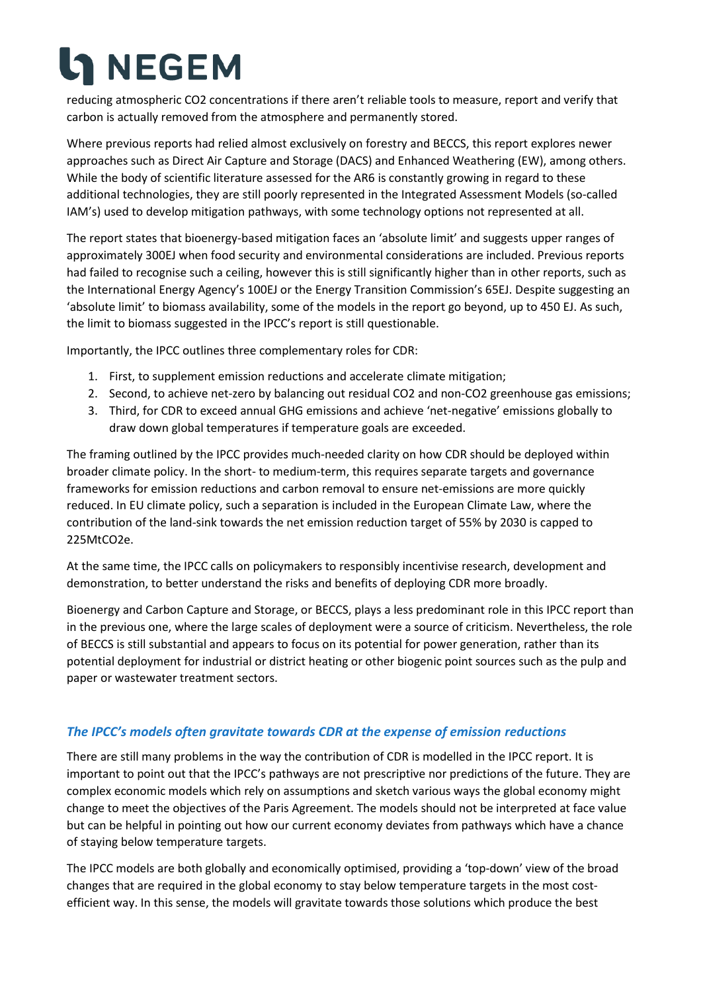# **LA NEGEM**

reducing atmospheric CO2 concentrations if there aren't reliable tools to measure, report and verify that carbon is actually removed from the atmosphere and permanently stored.

Where previous reports had relied almost exclusively on forestry and BECCS, this report explores newer approaches such as Direct Air Capture and Storage (DACS) and Enhanced Weathering (EW), among others. While the body of scientific literature assessed for the AR6 is constantly growing in regard to these additional technologies, they are still poorly represented in the Integrated Assessment Models (so-called IAM's) used to develop mitigation pathways, with some technology options not represented at all.

The report states that bioenergy-based mitigation faces an 'absolute limit' and suggests upper ranges of approximately 300EJ when food security and environmental considerations are included. Previous reports had failed to recognise such a ceiling, however this is still significantly higher than in other reports, such as the International Energy Agency's 100EJ or the Energy Transition Commission's 65EJ. Despite suggesting an 'absolute limit' to biomass availability, some of the models in the report go beyond, up to 450 EJ. As such, the limit to biomass suggested in the IPCC's report is still questionable.

Importantly, the IPCC outlines three complementary roles for CDR:

- 1. First, to supplement emission reductions and accelerate climate mitigation;
- 2. Second, to achieve net-zero by balancing out residual CO2 and non-CO2 greenhouse gas emissions;
- 3. Third, for CDR to exceed annual GHG emissions and achieve 'net-negative' emissions globally to draw down global temperatures if temperature goals are exceeded.

The framing outlined by the IPCC provides much-needed clarity on how CDR should be deployed within broader climate policy. In the short- to medium-term, this requires separate targets and governance frameworks for emission reductions and carbon removal to ensure net-emissions are more quickly reduced. In EU climate policy, such a separation is included in the European Climate Law, where the contribution of the land-sink towards the net emission reduction target of 55% by 2030 is capped to 225MtCO2e.

At the same time, the IPCC calls on policymakers to responsibly incentivise research, development and demonstration, to better understand the risks and benefits of deploying CDR more broadly.

Bioenergy and Carbon Capture and Storage, or BECCS, plays a less predominant role in this IPCC report than in the previous one, where the large scales of deployment were a source of criticism. Nevertheless, the role of BECCS is still substantial and appears to focus on its potential for power generation, rather than its potential deployment for industrial or district heating or other biogenic point sources such as the pulp and paper or wastewater treatment sectors.

### *The IPCC's models often gravitate towards CDR at the expense of emission reductions*

There are still many problems in the way the contribution of CDR is modelled in the IPCC report. It is important to point out that the IPCC's pathways are not prescriptive nor predictions of the future. They are complex economic models which rely on assumptions and sketch various ways the global economy might change to meet the objectives of the Paris Agreement. The models should not be interpreted at face value but can be helpful in pointing out how our current economy deviates from pathways which have a chance of staying below temperature targets.

The IPCC models are both globally and economically optimised, providing a 'top-down' view of the broad changes that are required in the global economy to stay below temperature targets in the most costefficient way. In this sense, the models will gravitate towards those solutions which produce the best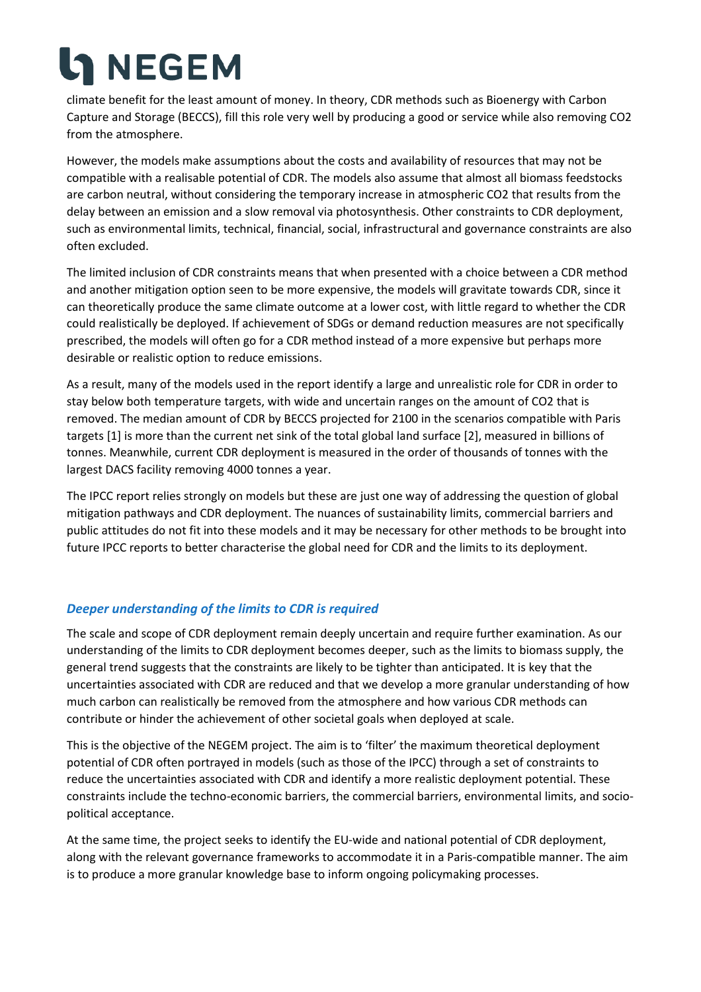# **LA** NEGEM

climate benefit for the least amount of money. In theory, CDR methods such as Bioenergy with Carbon Capture and Storage (BECCS), fill this role very well by producing a good or service while also removing CO2 from the atmosphere.

However, the models make assumptions about the costs and availability of resources that may not be compatible with a realisable potential of CDR. The models also assume that almost all biomass feedstocks are carbon neutral, without considering the temporary increase in atmospheric CO2 that results from the delay between an emission and a slow removal via photosynthesis. Other constraints to CDR deployment, such as environmental limits, technical, financial, social, infrastructural and governance constraints are also often excluded.

The limited inclusion of CDR constraints means that when presented with a choice between a CDR method and another mitigation option seen to be more expensive, the models will gravitate towards CDR, since it can theoretically produce the same climate outcome at a lower cost, with little regard to whether the CDR could realistically be deployed. If achievement of SDGs or demand reduction measures are not specifically prescribed, the models will often go for a CDR method instead of a more expensive but perhaps more desirable or realistic option to reduce emissions.

As a result, many of the models used in the report identify a large and unrealistic role for CDR in order to stay below both temperature targets, with wide and uncertain ranges on the amount of CO2 that is removed. The median amount of CDR by BECCS projected for 2100 in the scenarios compatible with Paris targets [1] is more than the current net sink of the total global land surface [2], measured in billions of tonnes. Meanwhile, current CDR deployment is measured in the order of thousands of tonnes with the largest DACS facility removing 4000 tonnes a year.

The IPCC report relies strongly on models but these are just one way of addressing the question of global mitigation pathways and CDR deployment. The nuances of sustainability limits, commercial barriers and public attitudes do not fit into these models and it may be necessary for other methods to be brought into future IPCC reports to better characterise the global need for CDR and the limits to its deployment.

### *Deeper understanding of the limits to CDR is required*

The scale and scope of CDR deployment remain deeply uncertain and require further examination. As our understanding of the limits to CDR deployment becomes deeper, such as the limits to biomass supply, the general trend suggests that the constraints are likely to be tighter than anticipated. It is key that the uncertainties associated with CDR are reduced and that we develop a more granular understanding of how much carbon can realistically be removed from the atmosphere and how various CDR methods can contribute or hinder the achievement of other societal goals when deployed at scale.

This is the objective of the NEGEM project. The aim is to 'filter' the maximum theoretical deployment potential of CDR often portrayed in models (such as those of the IPCC) through a set of constraints to reduce the uncertainties associated with CDR and identify a more realistic deployment potential. These constraints include the techno-economic barriers, the commercial barriers, environmental limits, and sociopolitical acceptance.

At the same time, the project seeks to identify the EU-wide and national potential of CDR deployment, along with the relevant governance frameworks to accommodate it in a Paris-compatible manner. The aim is to produce a more granular knowledge base to inform ongoing policymaking processes.